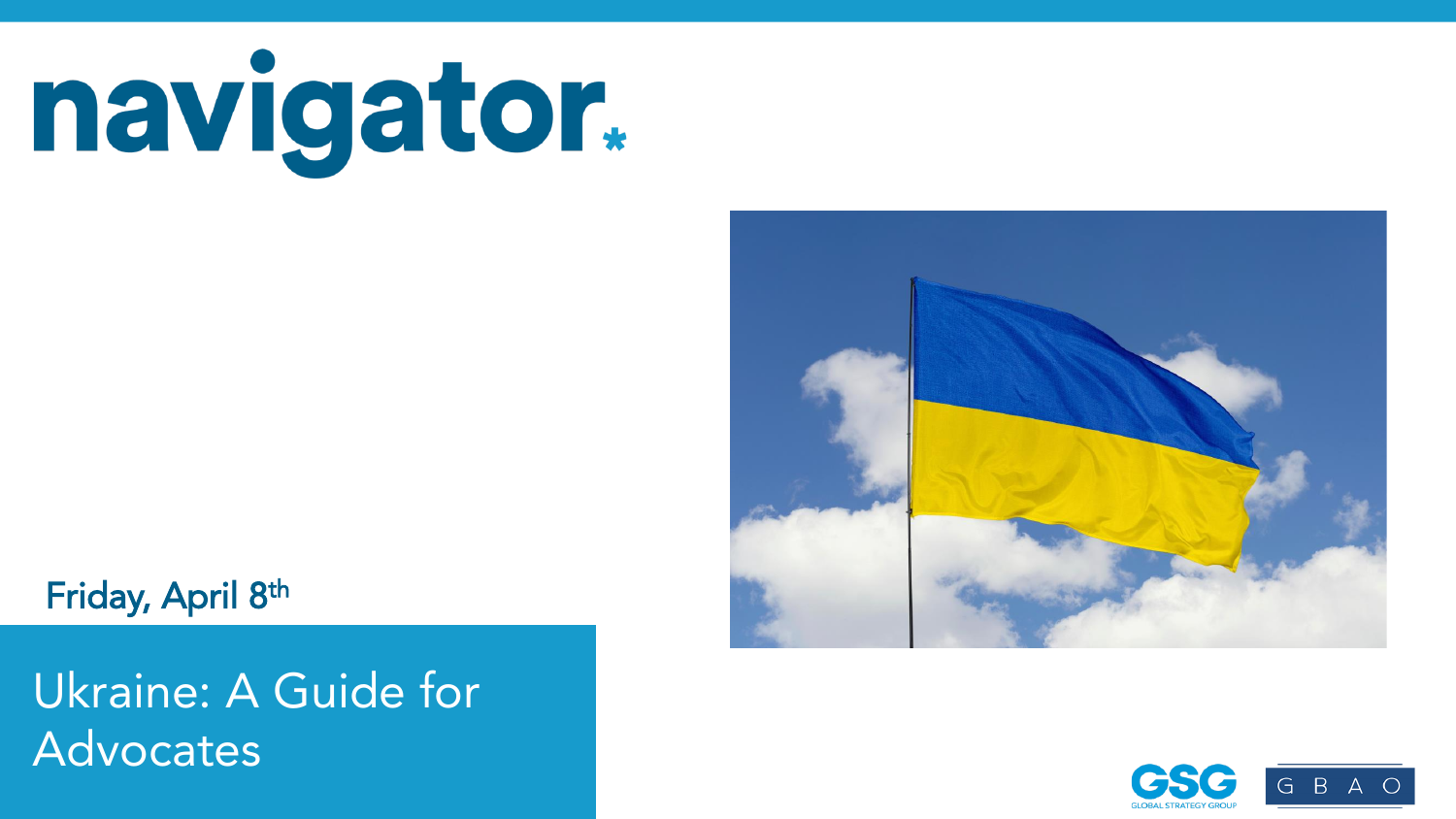# navigator.

Friday, April 8th

 $N_{\rm A}$   $\sim$  998 registered voters conducted March 31  $-$ VOLGLES in Forma  $N_{\rm A}$  registered voters; Each wave represents approximately 1,000 interviews taken over the prior three-five days. Latest wave conducted March 31-April 4, 2022. For more info, visit navigatorresearch.org Ukraine: A Guide for Advocates



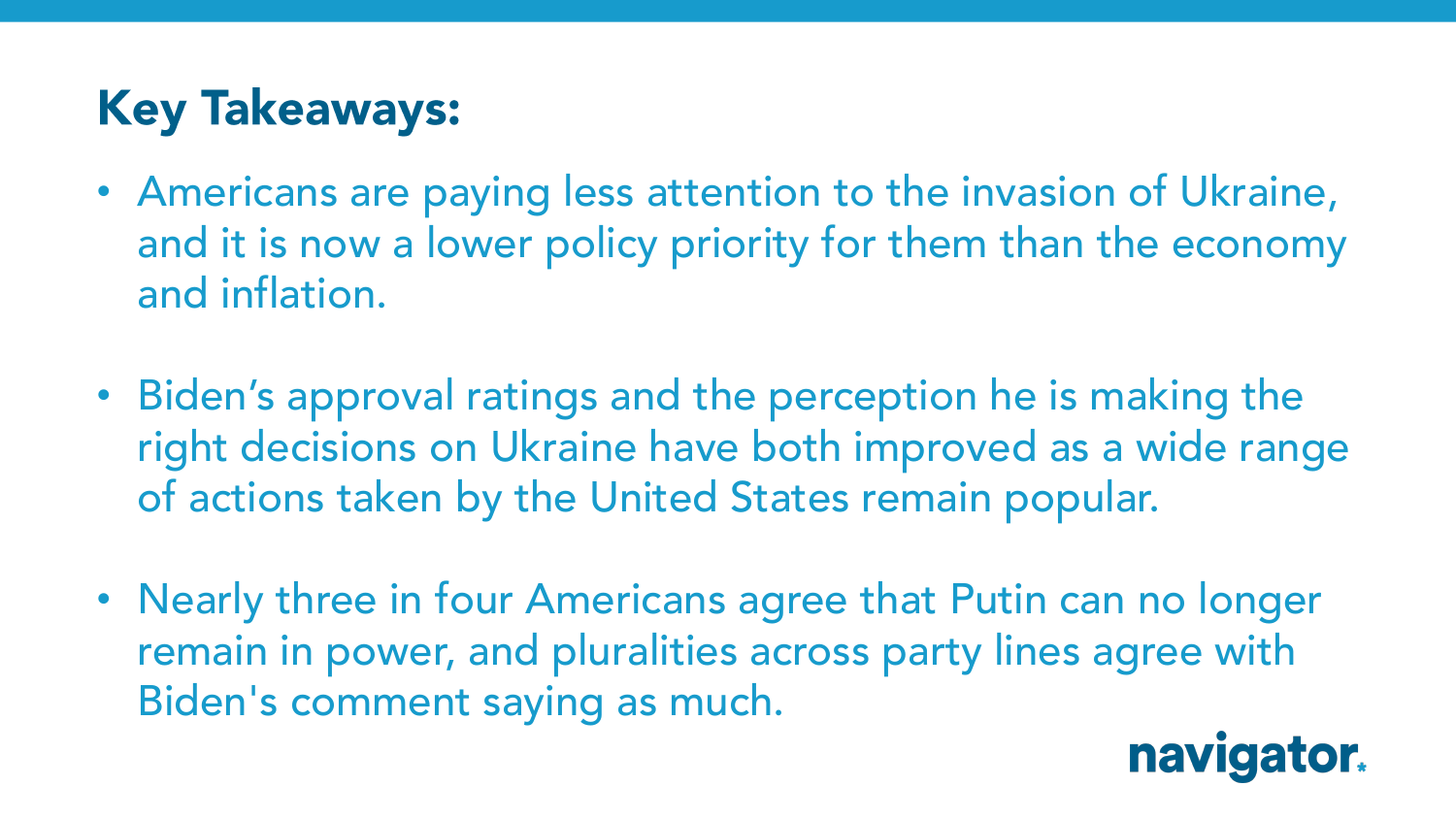## **Key Takeaways:**

- Americans are paying less attention to the invasion of Ukraine, and it is now a lower policy priority for them than the economy and inflation.
- Biden's approval ratings and the perception he is making the right decisions on Ukraine have both improved as a wide range of actions taken by the United States remain popular.
- Nearly three in four Americans agree that Putin can no longer remain in power, and pluralities across party lines agree with Biden's comment saying as much.

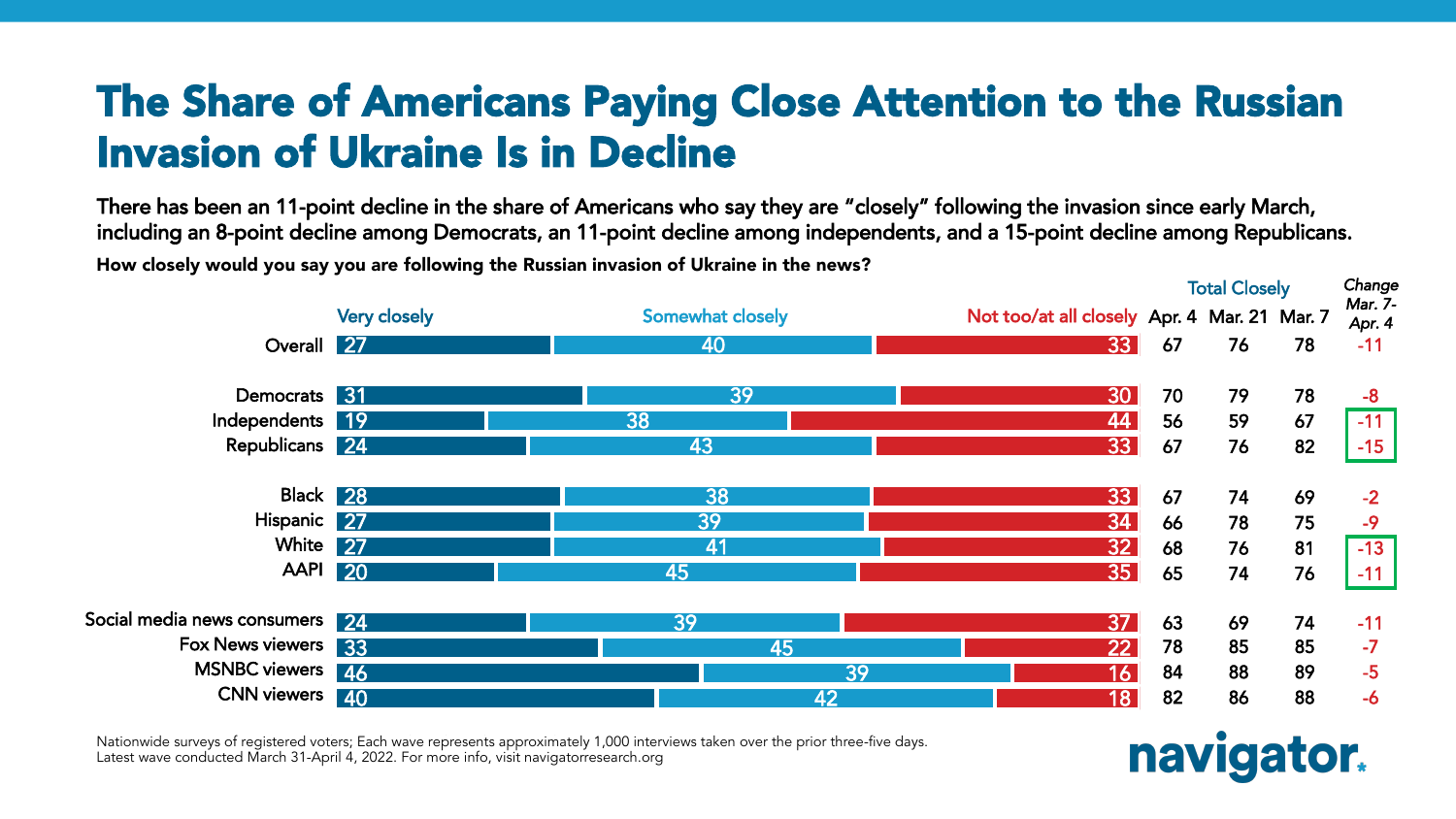#### The Share of Americans Paying Close Attention to the Russian Invasion of Ukraine Is in Decline

There has been an 11-point decline in the share of Americans who say they are "closely" following the invasion since early March, including an 8-point decline among Democrats, an 11-point decline among independents, and a 15-point decline among Republicans. How closely would you say you are following the Russian invasion of Ukraine in the news?



Nationwide surveys of registered voters; Each wave represents approximately 1,000 interviews taken over the prior three-five days. Latest wave conducted March 31-April 4, 2022. For more info, visit navigatorresearch.org

### navigator.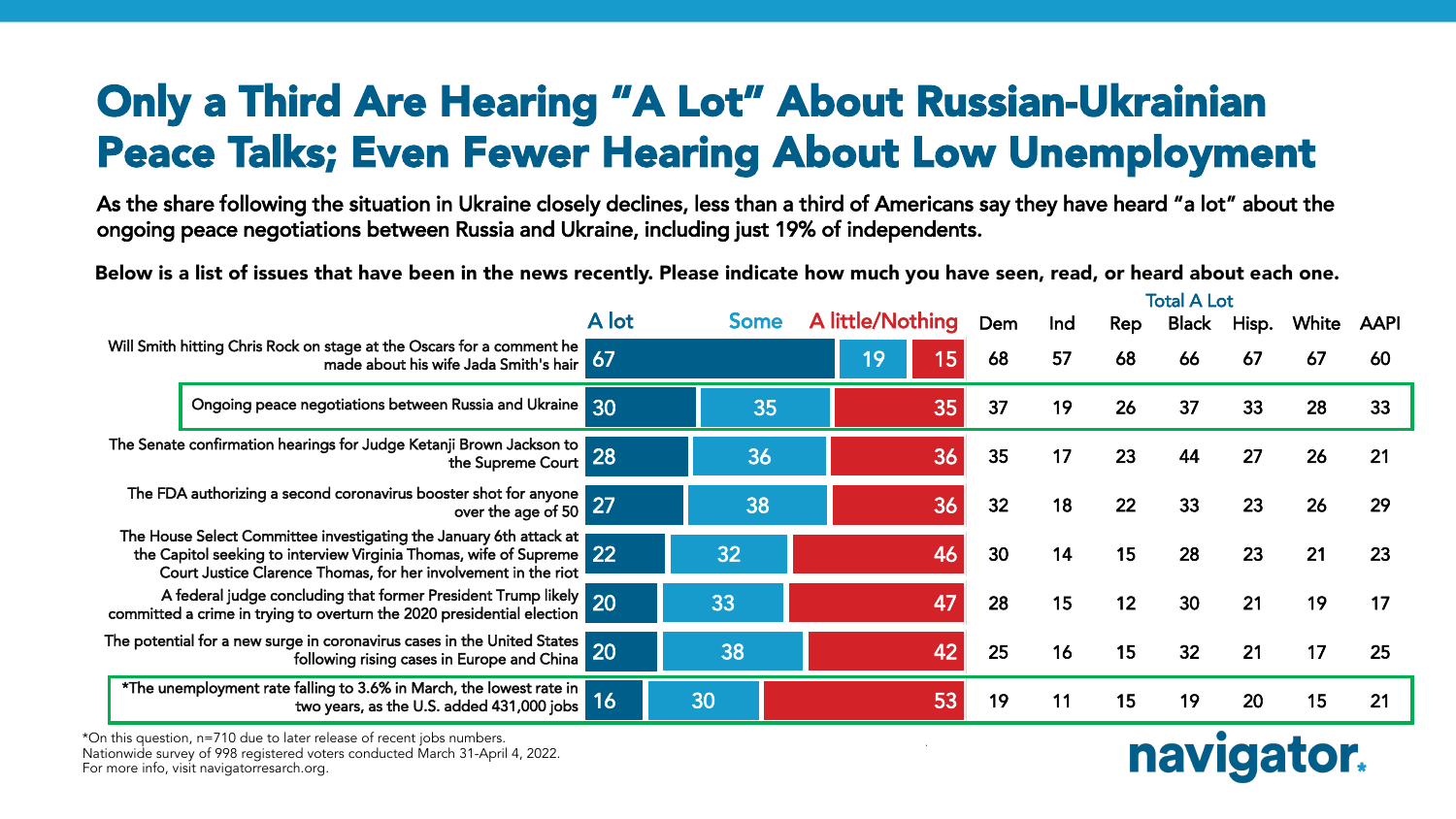#### Only a Third Are Hearing "A Lot" About Russian-Ukrainian Peace Talks; Even Fewer Hearing About Low Unemployment

As the share following the situation in Ukraine closely declines, less than a third of Americans say they have heard "a lot" about the ongoing peace negotiations between Russia and Ukraine, including just 19% of independents.

Below is a list of issues that have been in the news recently. Please indicate how much you have seen, read, or heard about each one.

|                                                                                                                                                                                                              |                                                                                                                     |       |             |  |                  | <b>Total A Lot</b> |     |     |       |       |       |      |
|--------------------------------------------------------------------------------------------------------------------------------------------------------------------------------------------------------------|---------------------------------------------------------------------------------------------------------------------|-------|-------------|--|------------------|--------------------|-----|-----|-------|-------|-------|------|
|                                                                                                                                                                                                              |                                                                                                                     | A lot | <b>Some</b> |  | A little/Nothing | Dem                | Ind | Rep | Black | Hisp. | White | AAPI |
| Will Smith hitting Chris Rock on stage at the Oscars for a comment he<br>made about his wife Jada Smith's hair 67                                                                                            |                                                                                                                     |       |             |  | 15<br>19         | 68                 | 57  | 68  | 66    | 67    | 67    | 60   |
|                                                                                                                                                                                                              | Ongoing peace negotiations between Russia and Ukraine 30                                                            |       | 35          |  | 35               | 37                 | 19  | 26  | 37    | 33    | 28    | 33   |
| The Senate confirmation hearings for Judge Ketanji Brown Jackson to<br>the Supreme Court 28                                                                                                                  |                                                                                                                     |       | 36          |  |                  | 35                 | 17  | 23  | 44    | 27    | 26    | 21   |
| The FDA authorizing a second coronavirus booster shot for anyone over the age of $50\,$ $27$                                                                                                                 |                                                                                                                     |       | 38          |  | 36               | 32                 | 18  | 22  | 33    | 23    | 26    | 29   |
| The House Select Committee investigating the January 6th attack at<br>the Capitol seeking to interview Virginia Thomas, wife of Supreme 22<br>Court Justice Clarence Thomas, for her involvement in the riot |                                                                                                                     |       | 32          |  | 46               | 30                 | 14  | 15  | 28    | 23    | 21    | 23   |
| A federal judge concluding that former President Trump likely 20<br>committed a crime in trying to overturn the 2020 presidential election                                                                   |                                                                                                                     |       | 33          |  | 47               | 28                 | 15  | 12  | 30    | 21    | 19    | 17   |
| The potential for a new surge in coronavirus cases in the United States  <br>following rising cases in Europe and China                                                                                      |                                                                                                                     |       | 38          |  | 42               | 25                 | 16  | 15  | 32    | 21    |       | 25   |
|                                                                                                                                                                                                              | *The unemployment rate falling to 3.6% in March, the lowest rate in<br>two years, as the U.S. added 431,000 jobs 16 |       | 30          |  | 53               | 19                 | 11  | 15  | 19    | 20    | 15    | 21   |

Nationwide surveys of 998 registered voters conducted March 31 – April 4, 2022. Nationwide surveys of registered voters; Each wave represents approximately 1,000 interviews taken over the prior three-five days. \*On this question, n=710 due to later release of recent jobs numbers. Nationwide survey of 998 registered voters conducted March 31-April 4, 2022.<br>F For more info, visit navigatorresarch.org.

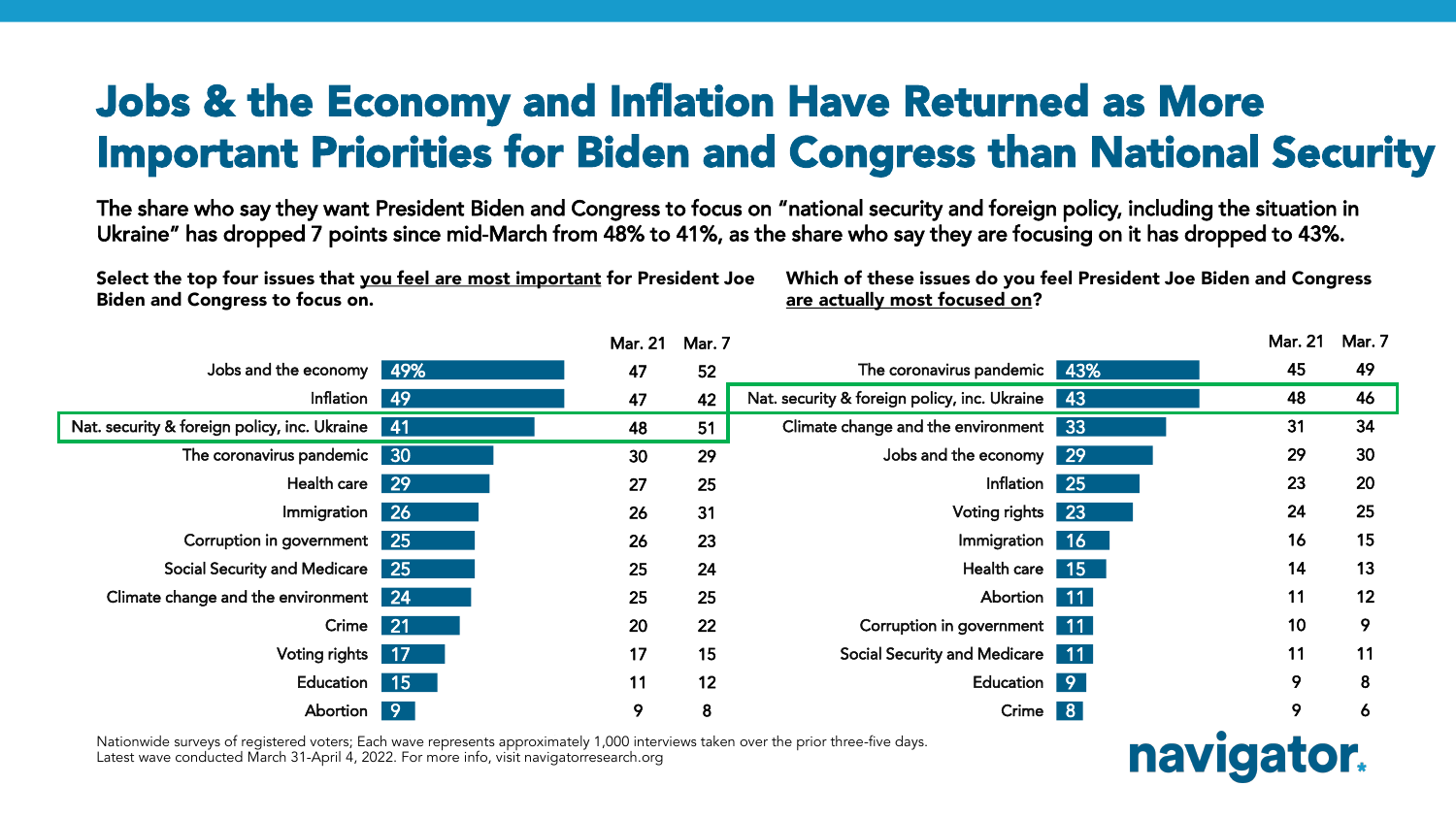#### Jobs & the Economy and Inflation Have Returned as More Important Priorities for Biden and Congress than National Security

The share who say they want President Biden and Congress to focus on "national security and foreign policy, including the situation in Ukraine" has dropped 7 points since mid-March from 48% to 41%, as the share who say they are focusing on it has dropped to 43%.

Select the top four issues that you feel are most important for President Joe Biden and Congress to focus on.

Which of these issues do you feel President Joe Biden and Congress are actually most focused on?

navigator.

|                                                 | <b>Mar. 21</b> | Mar. 7 |                                                 |    | Mar. 21 | Mar. 7 |
|-------------------------------------------------|----------------|--------|-------------------------------------------------|----|---------|--------|
| Jobs and the economy 49%                        | 47             | 52     | The coronavirus pandemic 43%                    |    | 45      | 49     |
| Inflation 49                                    | 47             | 42     | Nat. security & foreign policy, inc. Ukraine 43 |    | 48      | 46     |
| Nat. security & foreign policy, inc. Ukraine 41 | 48             | 51     | Climate change and the environment              | 33 | 31      | 34     |
| The coronavirus pandemic 30                     | 30             | 29     | Jobs and the economy 29                         |    | 29      | 30     |
| Health care 29                                  | 27             | 25     | Inflation 25                                    |    | 23      | 20     |
| Immigration 26                                  | 26             | 31     | Voting rights 23                                |    | 24      | 25     |
| Corruption in government 25                     | 26             | 23     | Immigration 16                                  |    | 16      | 15     |
| Social Security and Medicare 25                 | 25             | 24     | Health care 15                                  |    | 14      | 13     |
| Climate change and the environment 24           | 25             | 25     | Abortion 11                                     |    | 11      | 12     |
| Crime 21                                        | 20             | 22     | Corruption in government 11                     |    | 10      | 9      |
| Voting rights 17                                | 17             | 15     | Social Security and Medicare 11                 |    | 11      | 11     |
| Education 15                                    | 11             | 12     | Education 9                                     |    | 9       | 8      |
| Abortion 9                                      | 9              | 8      | Crime 8                                         |    | 9       | O      |

Nationwide surveys of registered voters; Each wave represents approximately 1,000 interviews taken over the prior three-five days. Latest wave conducted March 31-April 4, 2022. For more info, visit navigatorresearch.org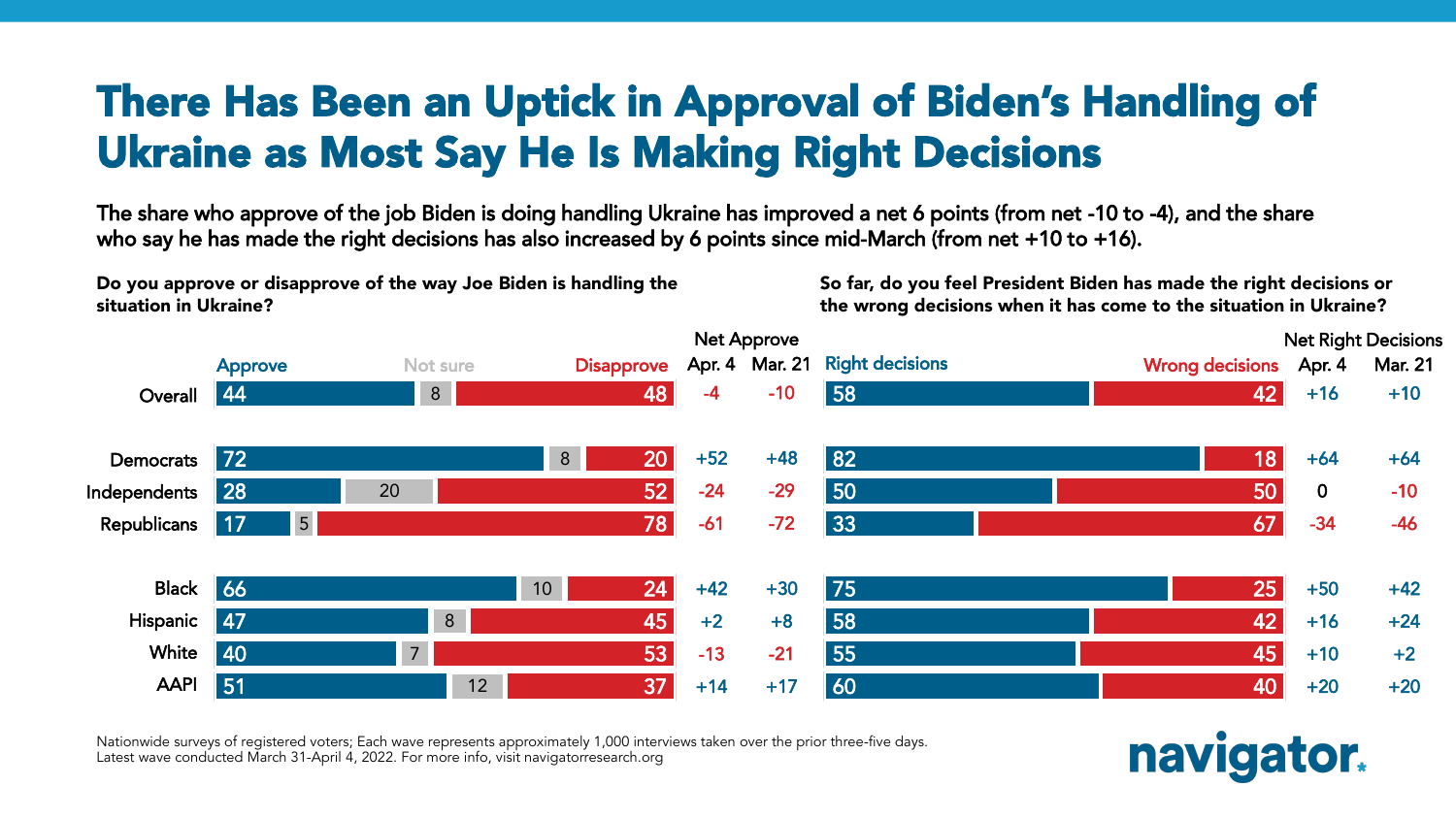#### There Has Been an Uptick in Approval of Biden's Handling of Ukraine as Most Say He Is Making Right Decisions

The share who approve of the job Biden is doing handling Ukraine has improved a net 6 points (from net -10 to -4), and the share who say he has made the right decisions has also increased by 6 points since mid-March (from net +10 to +16).

Do you approve or disapprove of the way Joe Biden is handling the situation in Ukraine?

So far, do you feel President Biden has made the right decisions or the wrong decisions when it has come to the situation in Ukraine?



Nationwide surveys of registered voters; Each wave represents approximately 1,000 interviews taken over the prior three-five days. Latest wave conducted March 31-April 4, 2022. For more info, visit navigatorresearch.org

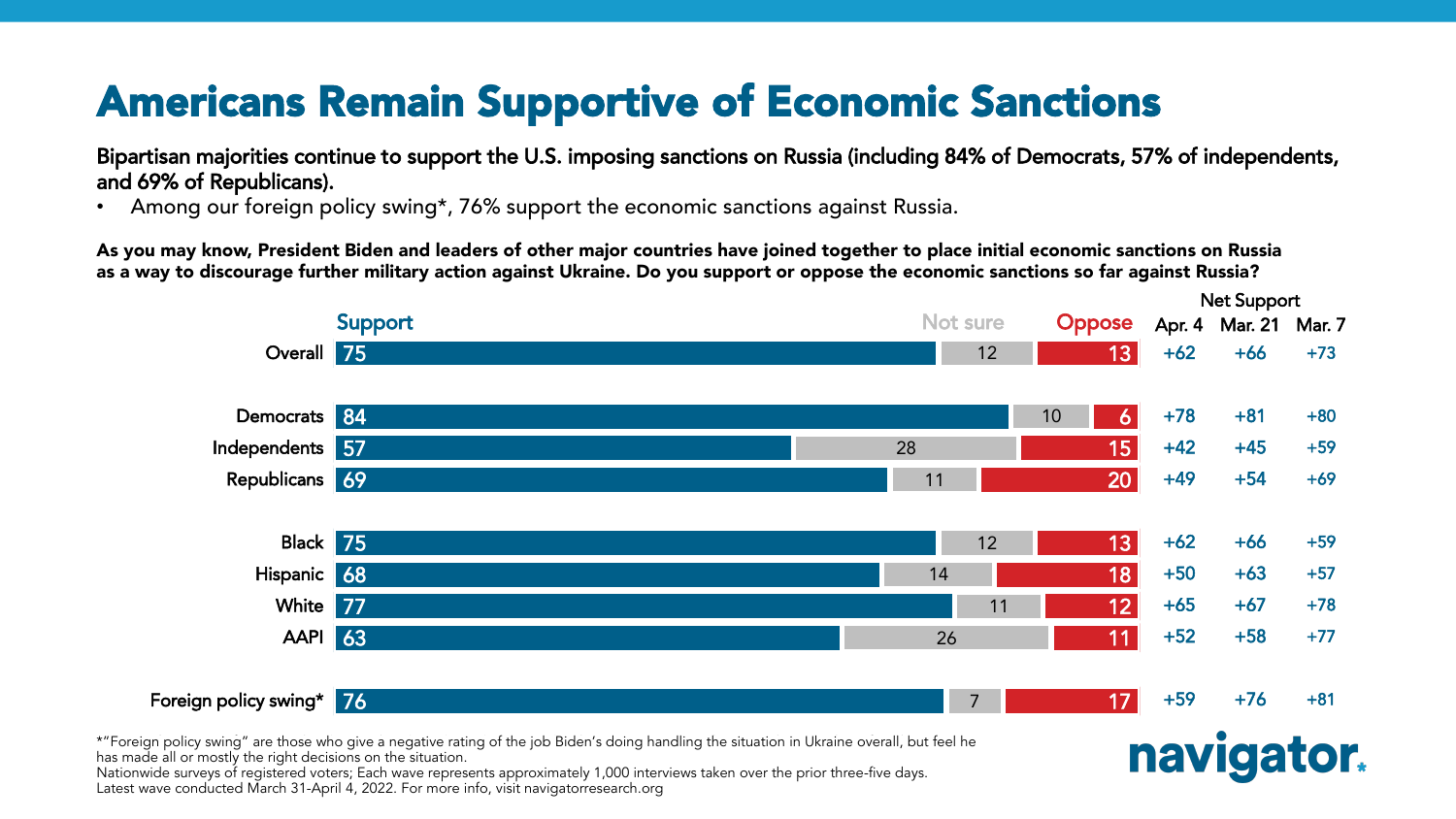### Americans Remain Supportive of Economic Sanctions

Bipartisan majorities continue to support the U.S. imposing sanctions on Russia (including 84% of Democrats, 57% of independents, and 69% of Republicans).

Among our foreign policy swing\*, 76% support the economic sanctions against Russia.

As you may know, President Biden and leaders of other major countries have joined together to place initial economic sanctions on Russia as a way to discourage further military action against Ukraine. Do you support or oppose the economic sanctions so far against Russia?



has made all or mostly the right decisions on the situation. Nationwide surveys of registered voters; Each wave represents approximately 1,000 interviews taken over the prior three-five days. Latest wave conducted March 31-April 4, 2022. For more info, visit navigatorresearch.org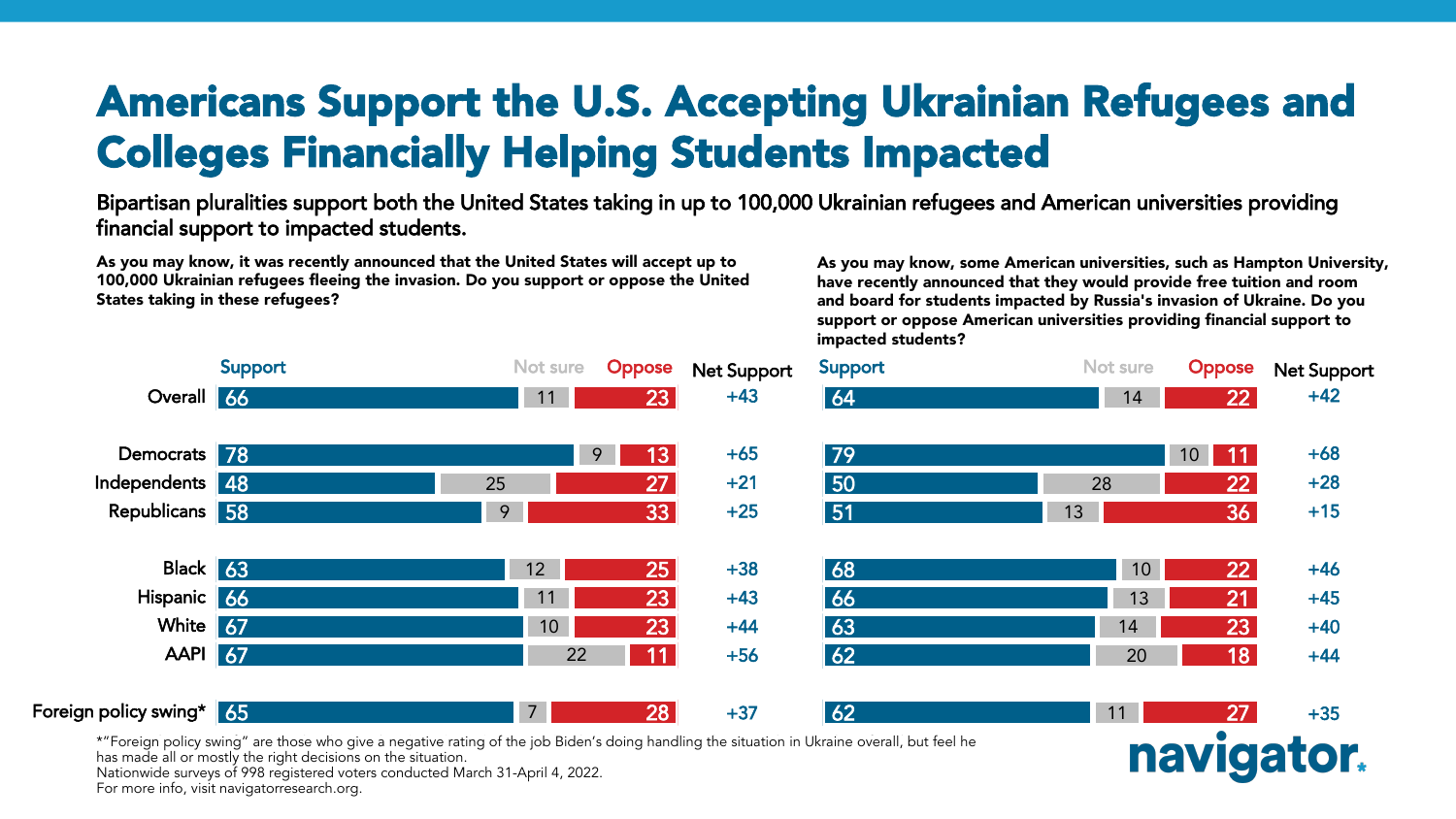#### Americans Support the U.S. Accepting Ukrainian Refugees and Colleges Financially Helping Students Impacted

Bipartisan pluralities support both the United States taking in up to 100,000 Ukrainian refugees and American universities providing financial support to impacted students.

As you may know, it was recently announced that the United States will accept up to 100,000 Ukrainian refugees fleeing the invasion. Do you support or oppose the United States taking in these refugees?

As you may know, some American universities, such as Hampton University, have recently announced that they would provide free tuition and room and board for students impacted by Russia's invasion of Ukraine. Do you support or oppose American universities providing financial support to impacted students?

naviga



\*"Foreign policy swing" are those who give a negative rating of the job Biden's doing handling the situation in Ukraine overall, but feel he

has made all or mostly the right decisions on the situation.

Nationwide surveys of 998 registered voters conducted March 31-April 4, 2022.

For more info, visit navigatorresearch.org.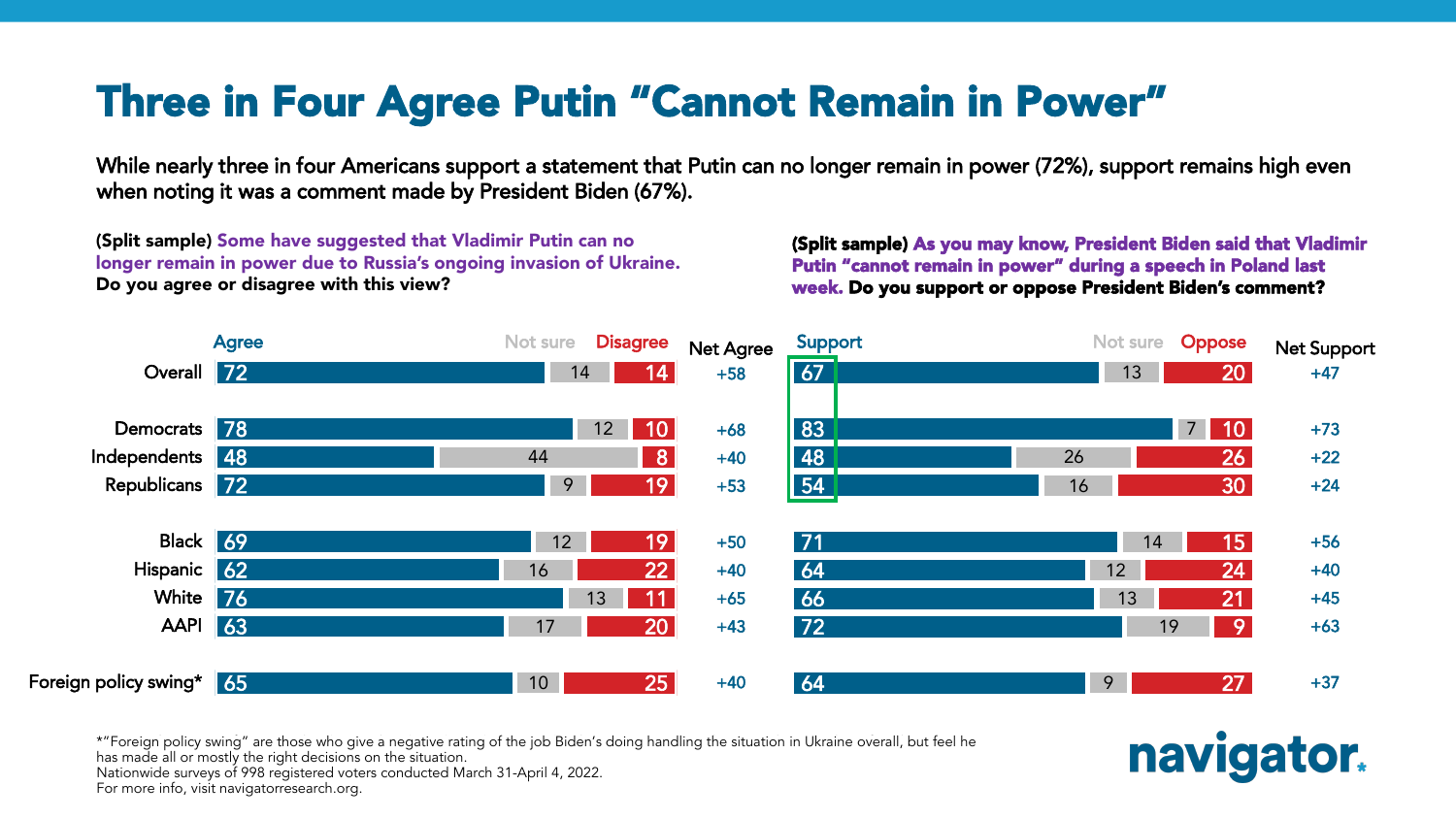#### Three in Four Agree Putin "Cannot Remain in Power"

While nearly three in four Americans support a statement that Putin can no longer remain in power (72%), support remains high even when noting it was a comment made by President Biden (67%).

(Split sample) Some have suggested that Vladimir Putin can no longer remain in power due to Russia's ongoing invasion of Ukraine. Do you agree or disagree with this view?

(Split sample) As you may know, President Biden said that Vladimir Putin "cannot remain in power" during a speech in Poland last week. Do you support or oppose President Biden's comment?

navigator.



\*"Foreign policy swing" are those who give a negative rating of the job Biden's doing handling the situation in Ukraine overall, but feel he

has made all or mostly the right decisions on the situation.

Nationwide surveys of 998 registered voters conducted March 31-April 4, 2022.

For more info, visit navigatorresearch.org.